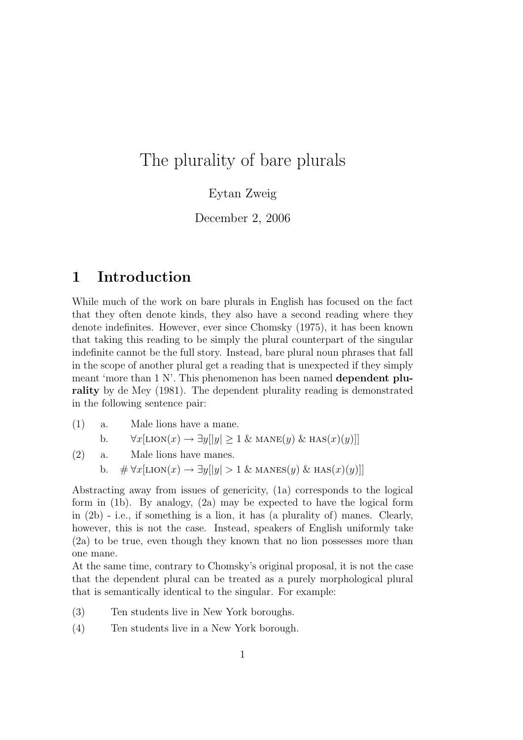# The plurality of bare plurals

#### Eytan Zweig

December 2, 2006

## 1 Introduction

While much of the work on bare plurals in English has focused on the fact that they often denote kinds, they also have a second reading where they denote indefinites. However, ever since Chomsky (1975), it has been known that taking this reading to be simply the plural counterpart of the singular indefinite cannot be the full story. Instead, bare plural noun phrases that fall in the scope of another plural get a reading that is unexpected if they simply meant 'more than 1 N'. This phenomenon has been named dependent plurality by de Mey (1981). The dependent plurality reading is demonstrated in the following sentence pair:

- (1) a. Male lions have a mane.
	- b.  $\forall x[\text{LION}(x) \rightarrow \exists y[|y] \ge 1 \& \text{MANE}(y) \& \text{HAS}(x)(y)]$
- (2) a. Male lions have manes.
	- b.  $\# \forall x [\text{LION}(x) \rightarrow \exists y || y | > 1 \& \text{MANES}(y) \& \text{HAS}(x)(y)]$

Abstracting away from issues of genericity, (1a) corresponds to the logical form in (1b). By analogy, (2a) may be expected to have the logical form in (2b) - i.e., if something is a lion, it has (a plurality of) manes. Clearly, however, this is not the case. Instead, speakers of English uniformly take (2a) to be true, even though they known that no lion possesses more than one mane.

At the same time, contrary to Chomsky's original proposal, it is not the case that the dependent plural can be treated as a purely morphological plural that is semantically identical to the singular. For example:

- (3) Ten students live in New York boroughs.
- (4) Ten students live in a New York borough.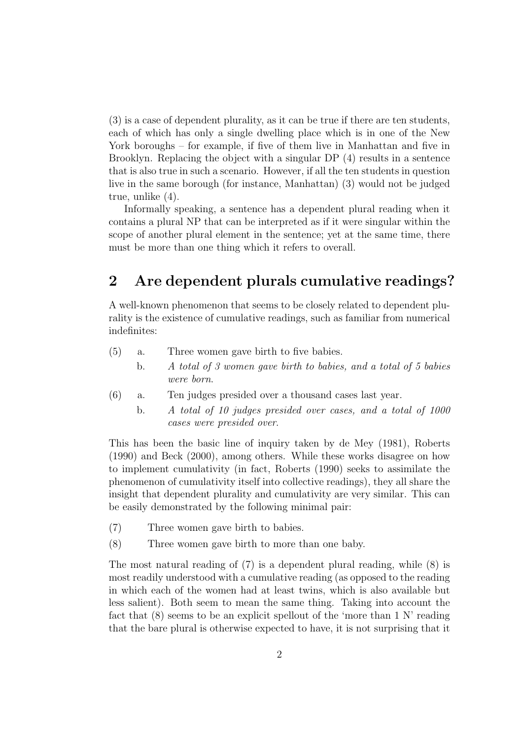(3) is a case of dependent plurality, as it can be true if there are ten students, each of which has only a single dwelling place which is in one of the New York boroughs – for example, if five of them live in Manhattan and five in Brooklyn. Replacing the object with a singular DP (4) results in a sentence that is also true in such a scenario. However, if all the ten students in question live in the same borough (for instance, Manhattan) (3) would not be judged true, unlike (4).

Informally speaking, a sentence has a dependent plural reading when it contains a plural NP that can be interpreted as if it were singular within the scope of another plural element in the sentence; yet at the same time, there must be more than one thing which it refers to overall.

### 2 Are dependent plurals cumulative readings?

A well-known phenomenon that seems to be closely related to dependent plurality is the existence of cumulative readings, such as familiar from numerical indefinites:

- (5) a. Three women gave birth to five babies.
	- b. A total of 3 women gave birth to babies, and a total of 5 babies were born.
- (6) a. Ten judges presided over a thousand cases last year.
	- b. A total of 10 judges presided over cases, and a total of 1000 cases were presided over.

This has been the basic line of inquiry taken by de Mey (1981), Roberts (1990) and Beck (2000), among others. While these works disagree on how to implement cumulativity (in fact, Roberts (1990) seeks to assimilate the phenomenon of cumulativity itself into collective readings), they all share the insight that dependent plurality and cumulativity are very similar. This can be easily demonstrated by the following minimal pair:

- (7) Three women gave birth to babies.
- (8) Three women gave birth to more than one baby.

The most natural reading of (7) is a dependent plural reading, while (8) is most readily understood with a cumulative reading (as opposed to the reading in which each of the women had at least twins, which is also available but less salient). Both seem to mean the same thing. Taking into account the fact that (8) seems to be an explicit spellout of the 'more than 1 N' reading that the bare plural is otherwise expected to have, it is not surprising that it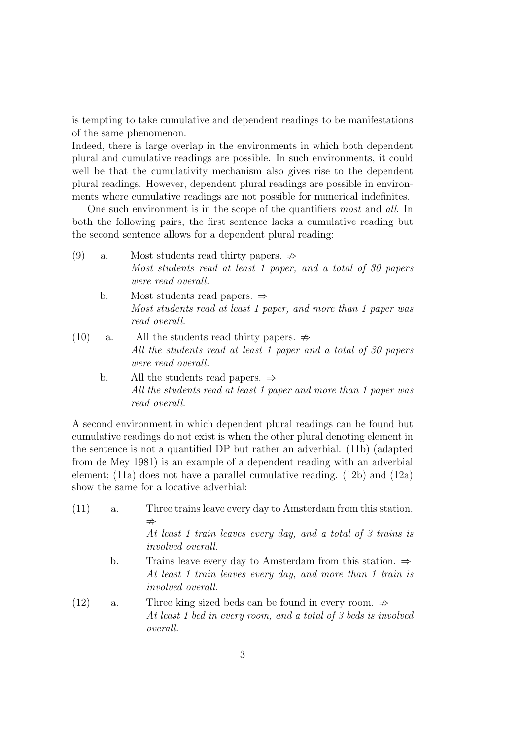is tempting to take cumulative and dependent readings to be manifestations of the same phenomenon.

Indeed, there is large overlap in the environments in which both dependent plural and cumulative readings are possible. In such environments, it could well be that the cumulativity mechanism also gives rise to the dependent plural readings. However, dependent plural readings are possible in environments where cumulative readings are not possible for numerical indefinites.

One such environment is in the scope of the quantifiers most and all. In both the following pairs, the first sentence lacks a cumulative reading but the second sentence allows for a dependent plural reading:

- (9) a. Most students read thirty papers.  $\Rightarrow$ Most students read at least 1 paper, and a total of 30 papers were read overall.
	- b. Most students read papers. ⇒ Most students read at least 1 paper, and more than 1 paper was read overall.
- (10) a. All the students read thirty papers.  $\Rightarrow$ All the students read at least 1 paper and a total of 30 papers were read overall.
	- b. All the students read papers.  $\Rightarrow$ All the students read at least 1 paper and more than 1 paper was read overall.

A second environment in which dependent plural readings can be found but cumulative readings do not exist is when the other plural denoting element in the sentence is not a quantified DP but rather an adverbial. (11b) (adapted from de Mey 1981) is an example of a dependent reading with an adverbial element; (11a) does not have a parallel cumulative reading. (12b) and (12a) show the same for a locative adverbial:

| (11) | a.             | Three trains leave every day to Amsterdam from this station.<br>$\nRightarrow$<br>At least 1 train leaves every day, and a total of 3 trains is<br><i>involved overall.</i> |
|------|----------------|-----------------------------------------------------------------------------------------------------------------------------------------------------------------------------|
|      | $\mathbf{b}$ . | Trains leave every day to Amsterdam from this station. $\Rightarrow$<br>At least 1 train leaves every day, and more than 1 train is<br><i>involved overall.</i>             |
| (12) | a.             | Three king sized beds can be found in every room. $\Rightarrow$<br>At least 1 bed in every room, and a total of 3 beds is involved<br><i>overall.</i>                       |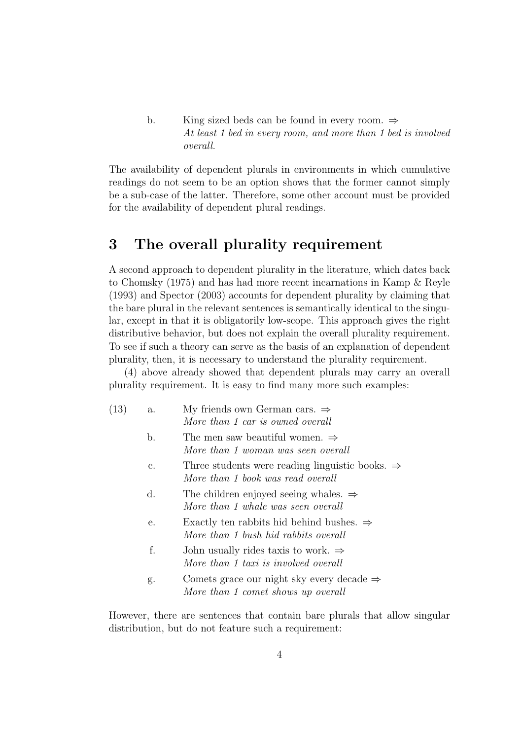b. King sized beds can be found in every room.  $\Rightarrow$ At least 1 bed in every room, and more than 1 bed is involved overall.

The availability of dependent plurals in environments in which cumulative readings do not seem to be an option shows that the former cannot simply be a sub-case of the latter. Therefore, some other account must be provided for the availability of dependent plural readings.

#### 3 The overall plurality requirement

A second approach to dependent plurality in the literature, which dates back to Chomsky (1975) and has had more recent incarnations in Kamp & Reyle (1993) and Spector (2003) accounts for dependent plurality by claiming that the bare plural in the relevant sentences is semantically identical to the singular, except in that it is obligatorily low-scope. This approach gives the right distributive behavior, but does not explain the overall plurality requirement. To see if such a theory can serve as the basis of an explanation of dependent plurality, then, it is necessary to understand the plurality requirement.

(4) above already showed that dependent plurals may carry an overall plurality requirement. It is easy to find many more such examples:

- (13) a. My friends own German cars.  $\Rightarrow$ More than 1 car is owned overall
	- b. The men saw beautiful women.  $\Rightarrow$ More than 1 woman was seen overall
	- c. Three students were reading linguistic books. ⇒ More than 1 book was read overall
	- d. The children enjoyed seeing whales. ⇒ More than 1 whale was seen overall
	- e. Exactly ten rabbits hid behind bushes. ⇒ More than 1 bush hid rabbits overall
	- f. John usually rides taxis to work.  $\Rightarrow$ More than 1 taxi is involved overall
	- g. Comets grace our night sky every decade  $\Rightarrow$ More than 1 comet shows up overall

However, there are sentences that contain bare plurals that allow singular distribution, but do not feature such a requirement: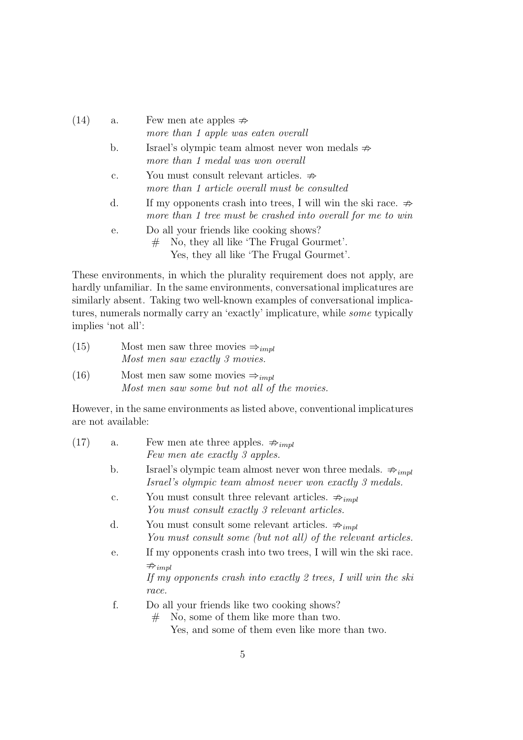| (14) | a.             | Few men ate apples $\Rightarrow$<br>more than 1 apple was eaten overall                                                                 |
|------|----------------|-----------------------------------------------------------------------------------------------------------------------------------------|
|      | $\mathbf{b}$ . | Israel's olympic team almost never won medals $\Rightarrow$<br>more than 1 medal was won overall                                        |
|      | $\mathbf{c}$ . | You must consult relevant articles. $\Rightarrow$<br>more than 1 article overall must be consulted                                      |
|      | d.             | If my opponents crash into trees, I will win the ski race. $\Rightarrow$<br>more than 1 tree must be crashed into overall for me to win |
|      | е.             | Do all your friends like cooking shows?<br>No, they all like 'The Frugal Gourmet'.<br>#<br>Yes, they all like 'The Frugal Gourmet'.     |

These environments, in which the plurality requirement does not apply, are hardly unfamiliar. In the same environments, conversational implicatures are similarly absent. Taking two well-known examples of conversational implicatures, numerals normally carry an 'exactly' implicature, while some typically implies 'not all':

| (15) | Most men saw three movies $\Rightarrow_{impl}$ |
|------|------------------------------------------------|
|      | Most men saw exactly 3 movies.                 |
| (16) | Most men saw some movies $\Rightarrow_{impl}$  |

Most men saw some but not all of the movies.

However, in the same environments as listed above, conventional implicatures are not available:

| (17) | а.             | Few men ate three apples. $\Rightarrow_{impl}$                                                                                                                             |
|------|----------------|----------------------------------------------------------------------------------------------------------------------------------------------------------------------------|
|      |                | Few men ate exactly 3 apples.                                                                                                                                              |
|      | b.             | Israel's olympic team almost never won three medals. $\Rightarrow_{impl}$<br>Israel's olympic team almost never won exactly 3 medals.                                      |
|      | $\mathbf{c}$ . | You must consult three relevant articles. $\Rightarrow_{impl}$<br>You must consult exactly 3 relevant articles.                                                            |
|      | d.             | You must consult some relevant articles. $\Rightarrow_{impl}$<br>You must consult some (but not all) of the relevant articles.                                             |
|      | е.             | If my opponents crash into two trees, I will win the ski race.<br>$\Rightarrow$ <sub>impl</sub><br>If my opponents crash into exactly 2 trees, I will win the ski<br>race. |
|      | f.             | Do all your friends like two cooking shows?<br>No, some of them like more than two.<br>#<br>Yes, and some of them even like more than two.                                 |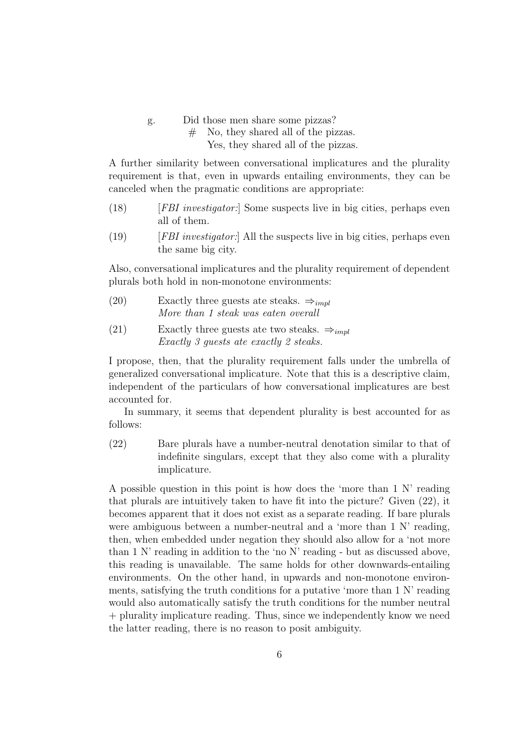g. Did those men share some pizzas?

# No, they shared all of the pizzas.

Yes, they shared all of the pizzas.

A further similarity between conversational implicatures and the plurality requirement is that, even in upwards entailing environments, they can be canceled when the pragmatic conditions are appropriate:

- (18) [FBI investigator:] Some suspects live in big cities, perhaps even all of them.
- $(19)$  [FBI investigator:] All the suspects live in big cities, perhaps even the same big city.

Also, conversational implicatures and the plurality requirement of dependent plurals both hold in non-monotone environments:

- (20) Exactly three guests ate steaks.  $\Rightarrow_{impl}$ More than 1 steak was eaten overall
- (21) Exactly three guests ate two steaks.  $\Rightarrow_{impl}$ Exactly 3 guests ate exactly 2 steaks.

I propose, then, that the plurality requirement falls under the umbrella of generalized conversational implicature. Note that this is a descriptive claim, independent of the particulars of how conversational implicatures are best accounted for.

In summary, it seems that dependent plurality is best accounted for as follows:

(22) Bare plurals have a number-neutral denotation similar to that of indefinite singulars, except that they also come with a plurality implicature.

A possible question in this point is how does the 'more than 1 N' reading that plurals are intuitively taken to have fit into the picture? Given (22), it becomes apparent that it does not exist as a separate reading. If bare plurals were ambiguous between a number-neutral and a 'more than 1 N' reading, then, when embedded under negation they should also allow for a 'not more than 1 N' reading in addition to the 'no N' reading - but as discussed above, this reading is unavailable. The same holds for other downwards-entailing environments. On the other hand, in upwards and non-monotone environments, satisfying the truth conditions for a putative 'more than 1 N' reading would also automatically satisfy the truth conditions for the number neutral + plurality implicature reading. Thus, since we independently know we need the latter reading, there is no reason to posit ambiguity.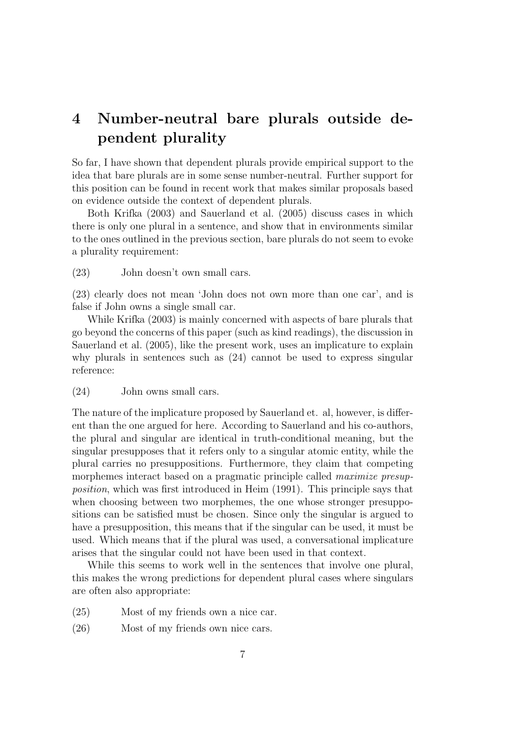# 4 Number-neutral bare plurals outside dependent plurality

So far, I have shown that dependent plurals provide empirical support to the idea that bare plurals are in some sense number-neutral. Further support for this position can be found in recent work that makes similar proposals based on evidence outside the context of dependent plurals.

Both Krifka (2003) and Sauerland et al. (2005) discuss cases in which there is only one plural in a sentence, and show that in environments similar to the ones outlined in the previous section, bare plurals do not seem to evoke a plurality requirement:

(23) John doesn't own small cars.

(23) clearly does not mean 'John does not own more than one car', and is false if John owns a single small car.

While Krifka (2003) is mainly concerned with aspects of bare plurals that go beyond the concerns of this paper (such as kind readings), the discussion in Sauerland et al. (2005), like the present work, uses an implicature to explain why plurals in sentences such as (24) cannot be used to express singular reference:

#### (24) John owns small cars.

The nature of the implicature proposed by Sauerland et. al, however, is different than the one argued for here. According to Sauerland and his co-authors, the plural and singular are identical in truth-conditional meaning, but the singular presupposes that it refers only to a singular atomic entity, while the plural carries no presuppositions. Furthermore, they claim that competing morphemes interact based on a pragmatic principle called *maximize presup*position, which was first introduced in Heim (1991). This principle says that when choosing between two morphemes, the one whose stronger presuppositions can be satisfied must be chosen. Since only the singular is argued to have a presupposition, this means that if the singular can be used, it must be used. Which means that if the plural was used, a conversational implicature arises that the singular could not have been used in that context.

While this seems to work well in the sentences that involve one plural, this makes the wrong predictions for dependent plural cases where singulars are often also appropriate:

- (25) Most of my friends own a nice car.
- (26) Most of my friends own nice cars.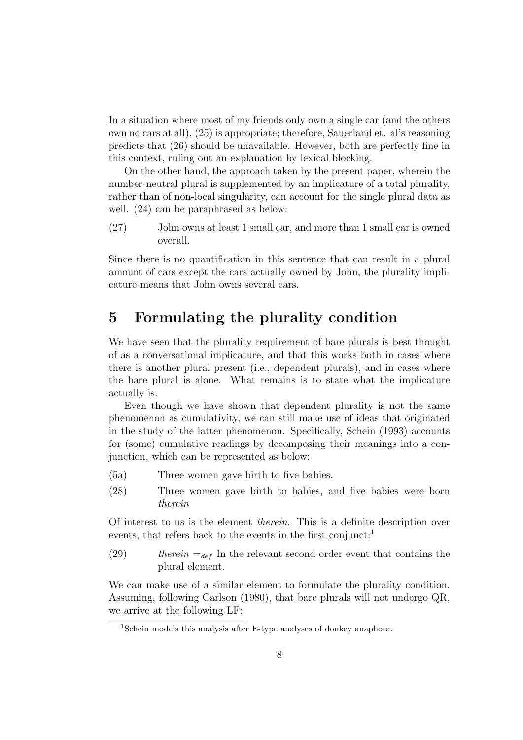In a situation where most of my friends only own a single car (and the others own no cars at all), (25) is appropriate; therefore, Sauerland et. al's reasoning predicts that (26) should be unavailable. However, both are perfectly fine in this context, ruling out an explanation by lexical blocking.

On the other hand, the approach taken by the present paper, wherein the number-neutral plural is supplemented by an implicature of a total plurality, rather than of non-local singularity, can account for the single plural data as well. (24) can be paraphrased as below:

(27) John owns at least 1 small car, and more than 1 small car is owned overall.

Since there is no quantification in this sentence that can result in a plural amount of cars except the cars actually owned by John, the plurality implicature means that John owns several cars.

#### 5 Formulating the plurality condition

We have seen that the plurality requirement of bare plurals is best thought of as a conversational implicature, and that this works both in cases where there is another plural present (i.e., dependent plurals), and in cases where the bare plural is alone. What remains is to state what the implicature actually is.

Even though we have shown that dependent plurality is not the same phenomenon as cumulativity, we can still make use of ideas that originated in the study of the latter phenomenon. Specifically, Schein (1993) accounts for (some) cumulative readings by decomposing their meanings into a conjunction, which can be represented as below:

- (5a) Three women gave birth to five babies.
- (28) Three women gave birth to babies, and five babies were born therein

Of interest to us is the element therein. This is a definite description over events, that refers back to the events in the first conjunct:<sup>1</sup>

(29) therein  $=_{def}$  In the relevant second-order event that contains the plural element.

We can make use of a similar element to formulate the plurality condition. Assuming, following Carlson (1980), that bare plurals will not undergo QR, we arrive at the following LF:

<sup>&</sup>lt;sup>1</sup>Schein models this analysis after E-type analyses of donkey anaphora.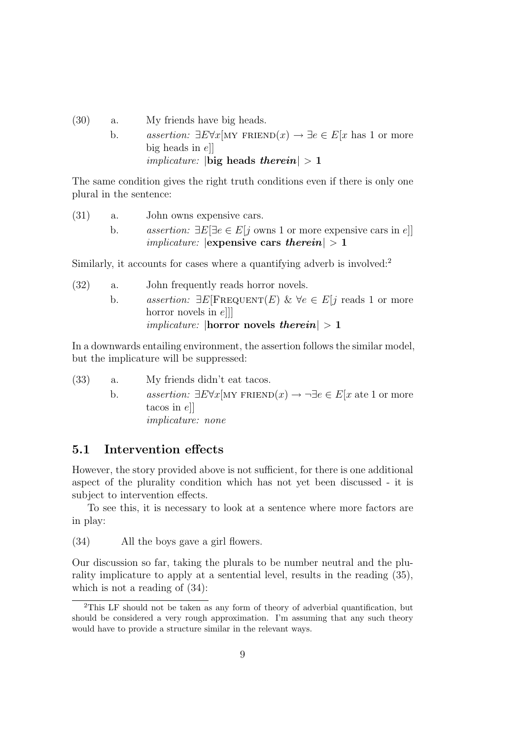- (30) a. My friends have big heads.
	- b. assertion:  $\exists E \forall x$ [MY FRIEND $(x) \rightarrow \exists e \in E[x]$  has 1 or more big heads in  $e$ ] *implicature:*  $|\textbf{big heads} \textbf{therein}| > 1$

The same condition gives the right truth conditions even if there is only one plural in the sentence:

\n- (31) a. John owns expensive cars.
\n- b. *assertion:* 
$$
\exists E[\exists e \in E[j \text{ owns 1 or more expensive cars in } e]]
$$
 *implicative:*  $|\mathbf{expensive cars therein$
\n

Similarly, it accounts for cases where a quantifying adverb is involved:<sup>2</sup>

(32) a. John frequently reads horror novels. b. assertion:  $\exists E[\text{FREDUENT}(E) \& \forall e \in E | i \text{ reads } 1 \text{ or more}]$ horror novels in ell *implicature:*  $\text{horror}$  novels *therein*  $> 1$ 

In a downwards entailing environment, the assertion follows the similar model, but the implicature will be suppressed:

- (33) a. My friends didn't eat tacos.
	- b. assertion:  $\exists E \forall x$ [MY FRIEND $(x) \rightarrow \neg \exists e \in E[x]$  ate 1 or more tacos in e]] implicature: none

#### 5.1 Intervention effects

However, the story provided above is not sufficient, for there is one additional aspect of the plurality condition which has not yet been discussed - it is subject to intervention effects.

To see this, it is necessary to look at a sentence where more factors are in play:

(34) All the boys gave a girl flowers.

Our discussion so far, taking the plurals to be number neutral and the plurality implicature to apply at a sentential level, results in the reading (35), which is not a reading of (34):

<sup>2</sup>This LF should not be taken as any form of theory of adverbial quantification, but should be considered a very rough approximation. I'm assuming that any such theory would have to provide a structure similar in the relevant ways.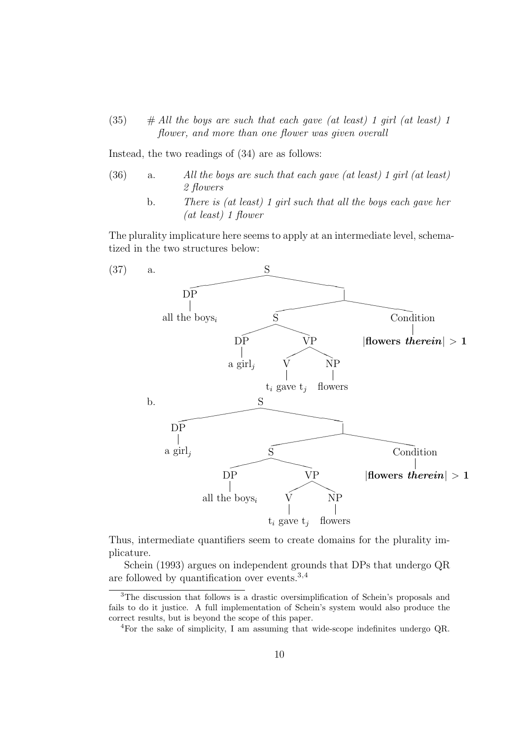$(35)$  # All the boys are such that each gave (at least) 1 girl (at least) 1 flower, and more than one flower was given overall

Instead, the two readings of (34) are as follows:

- (36) a. All the boys are such that each gave (at least) 1 girl (at least) 2 flowers
	- b. There is (at least) 1 girl such that all the boys each gave her (at least) 1 flower

The plurality implicature here seems to apply at an intermediate level, schematized in the two structures below:



Thus, intermediate quantifiers seem to create domains for the plurality implicature.

Schein (1993) argues on independent grounds that DPs that undergo QR are followed by quantification over events.<sup>3</sup>,<sup>4</sup>

<sup>3</sup>The discussion that follows is a drastic oversimplification of Schein's proposals and fails to do it justice. A full implementation of Schein's system would also produce the correct results, but is beyond the scope of this paper.

<sup>4</sup>For the sake of simplicity, I am assuming that wide-scope indefinites undergo QR.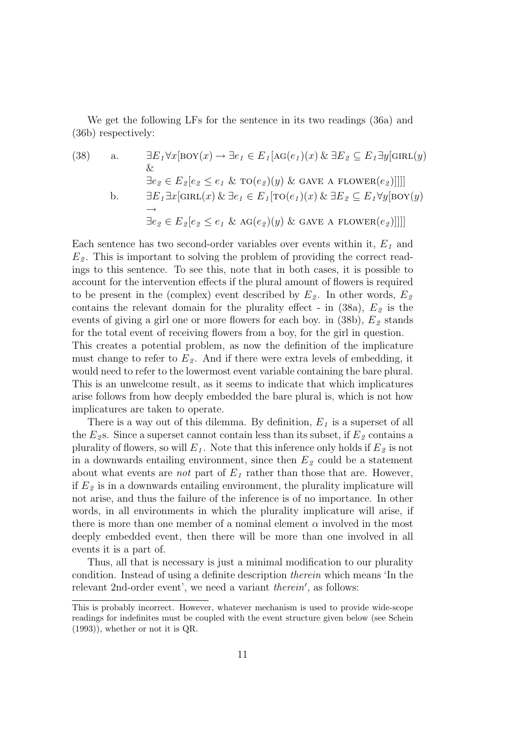We get the following LFs for the sentence in its two readings (36a) and (36b) respectively:

(38) a.  $\exists E_1 \forall x [\text{BOY}(x) \rightarrow \exists e_1 \in E_1[\text{AG}(e_1)(x) \& \exists E_2 \subseteq E_1 \exists y [\text{GIRL}(y)]$  $\&$  $\exists e_2 \in E_2[e_2 \leq e_1 \& \text{TO}(e_2)(y) \& \text{ GAVE A FLOWER}(e_2)]$ b.  $\exists E_1 \exists x [\text{GIRL}(x) \& \exists e_1 \in E_1[\text{TO}(e_1)(x) \& \exists E_2 \subseteq E_1 \forall y [\text{BOY}(y)]$  $\rightarrow$  $\exists e_2 \in E_2[e_2 \leq e_1 \& \text{AG}(e_2)(y) \& \text{ GAVE A FLOWER}(e_2)]]]]$ 

Each sentence has two second-order variables over events within it,  $E_1$  and  $E<sub>2</sub>$ . This is important to solving the problem of providing the correct readings to this sentence. To see this, note that in both cases, it is possible to account for the intervention effects if the plural amount of flowers is required to be present in the (complex) event described by  $E_2$ . In other words,  $E_2$ contains the relevant domain for the plurality effect - in  $(38a)$ ,  $E_2$  is the events of giving a girl one or more flowers for each boy. in  $(38b)$ ,  $E_2$  stands for the total event of receiving flowers from a boy, for the girl in question.

This creates a potential problem, as now the definition of the implicature must change to refer to  $E_2$ . And if there were extra levels of embedding, it would need to refer to the lowermost event variable containing the bare plural. This is an unwelcome result, as it seems to indicate that which implicatures arise follows from how deeply embedded the bare plural is, which is not how implicatures are taken to operate.

There is a way out of this dilemma. By definition,  $E_1$  is a superset of all the  $E_2$ s. Since a superset cannot contain less than its subset, if  $E_2$  contains a plurality of flowers, so will  $E_1$ . Note that this inference only holds if  $E_2$  is not in a downwards entailing environment, since then  $E<sub>2</sub>$  could be a statement about what events are *not* part of  $E_1$  rather than those that are. However, if  $E_2$  is in a downwards entailing environment, the plurality implicature will not arise, and thus the failure of the inference is of no importance. In other words, in all environments in which the plurality implicature will arise, if there is more than one member of a nominal element  $\alpha$  involved in the most deeply embedded event, then there will be more than one involved in all events it is a part of.

Thus, all that is necessary is just a minimal modification to our plurality condition. Instead of using a definite description therein which means 'In the relevant 2nd-order event', we need a variant *therein'*, as follows:

This is probably incorrect. However, whatever mechanism is used to provide wide-scope readings for indefinites must be coupled with the event structure given below (see Schein (1993)), whether or not it is QR.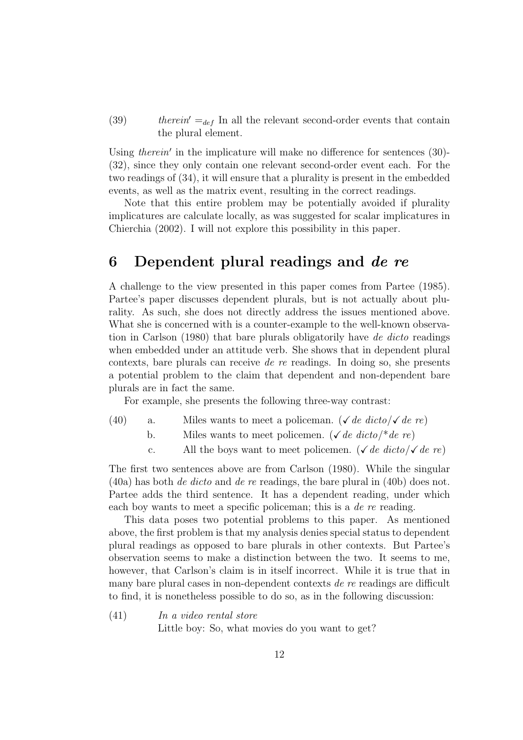(39) therein'  $=_{def}$  In all the relevant second-order events that contain the plural element.

Using therein' in the implicature will make no difference for sentences  $(30)$ -(32), since they only contain one relevant second-order event each. For the two readings of (34), it will ensure that a plurality is present in the embedded events, as well as the matrix event, resulting in the correct readings.

Note that this entire problem may be potentially avoided if plurality implicatures are calculate locally, as was suggested for scalar implicatures in Chierchia (2002). I will not explore this possibility in this paper.

#### 6 Dependent plural readings and de re

A challenge to the view presented in this paper comes from Partee (1985). Partee's paper discusses dependent plurals, but is not actually about plurality. As such, she does not directly address the issues mentioned above. What she is concerned with is a counter-example to the well-known observation in Carlson (1980) that bare plurals obligatorily have de dicto readings when embedded under an attitude verb. She shows that in dependent plural contexts, bare plurals can receive de re readings. In doing so, she presents a potential problem to the claim that dependent and non-dependent bare plurals are in fact the same.

For example, she presents the following three-way contrast:

- (40) a. Miles wants to meet a policeman. ( $\sqrt{de\,dicto}/\sqrt{de\,re}$ )
	- b. Miles wants to meet policemen. ( $\sqrt{de\,dicto}$ /\*de re)
	- c. All the boys want to meet policemen. ( $\sqrt{de\,dicto}/\sqrt{de\,re}$ )

The first two sentences above are from Carlson (1980). While the singular (40a) has both de dicto and de re readings, the bare plural in (40b) does not. Partee adds the third sentence. It has a dependent reading, under which each boy wants to meet a specific policeman; this is a *de re* reading.

This data poses two potential problems to this paper. As mentioned above, the first problem is that my analysis denies special status to dependent plural readings as opposed to bare plurals in other contexts. But Partee's observation seems to make a distinction between the two. It seems to me, however, that Carlson's claim is in itself incorrect. While it is true that in many bare plural cases in non-dependent contexts de re readings are difficult to find, it is nonetheless possible to do so, as in the following discussion:

(41) In a video rental store Little boy: So, what movies do you want to get?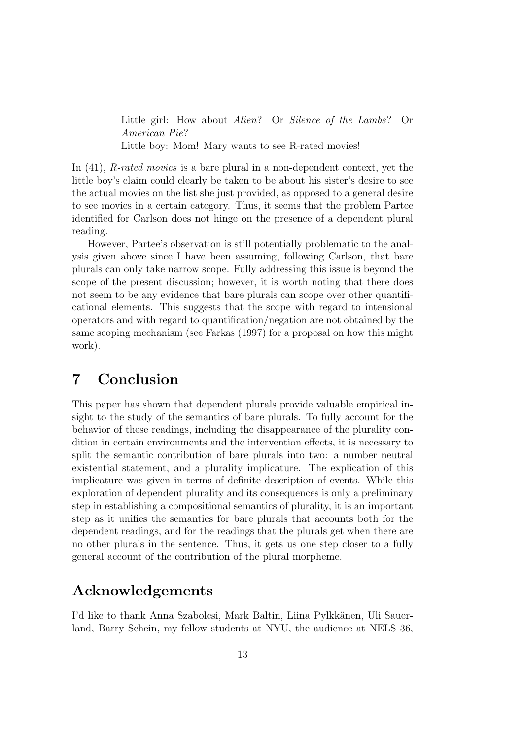Little girl: How about Alien? Or Silence of the Lambs? Or American Pie? Little boy: Mom! Mary wants to see R-rated movies!

In (41), *R-rated movies* is a bare plural in a non-dependent context, yet the little boy's claim could clearly be taken to be about his sister's desire to see the actual movies on the list she just provided, as opposed to a general desire to see movies in a certain category. Thus, it seems that the problem Partee identified for Carlson does not hinge on the presence of a dependent plural reading.

However, Partee's observation is still potentially problematic to the analysis given above since I have been assuming, following Carlson, that bare plurals can only take narrow scope. Fully addressing this issue is beyond the scope of the present discussion; however, it is worth noting that there does not seem to be any evidence that bare plurals can scope over other quantificational elements. This suggests that the scope with regard to intensional operators and with regard to quantification/negation are not obtained by the same scoping mechanism (see Farkas (1997) for a proposal on how this might work).

#### 7 Conclusion

This paper has shown that dependent plurals provide valuable empirical insight to the study of the semantics of bare plurals. To fully account for the behavior of these readings, including the disappearance of the plurality condition in certain environments and the intervention effects, it is necessary to split the semantic contribution of bare plurals into two: a number neutral existential statement, and a plurality implicature. The explication of this implicature was given in terms of definite description of events. While this exploration of dependent plurality and its consequences is only a preliminary step in establishing a compositional semantics of plurality, it is an important step as it unifies the semantics for bare plurals that accounts both for the dependent readings, and for the readings that the plurals get when there are no other plurals in the sentence. Thus, it gets us one step closer to a fully general account of the contribution of the plural morpheme.

#### Acknowledgements

I'd like to thank Anna Szabolcsi, Mark Baltin, Liina Pylkkänen, Uli Sauerland, Barry Schein, my fellow students at NYU, the audience at NELS 36,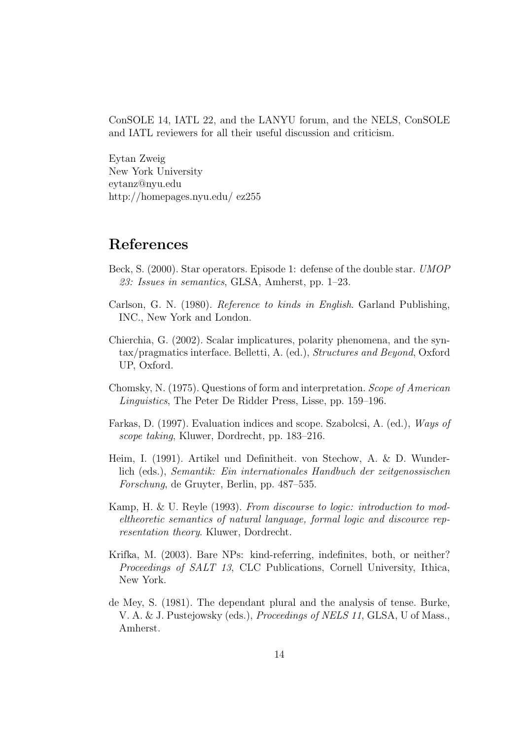ConSOLE 14, IATL 22, and the LANYU forum, and the NELS, ConSOLE and IATL reviewers for all their useful discussion and criticism.

Eytan Zweig New York University eytanz@nyu.edu http://homepages.nyu.edu/ ez255

## References

- Beck, S. (2000). Star operators. Episode 1: defense of the double star. UMOP 23: Issues in semantics, GLSA, Amherst, pp. 1–23.
- Carlson, G. N. (1980). Reference to kinds in English. Garland Publishing, INC., New York and London.
- Chierchia, G. (2002). Scalar implicatures, polarity phenomena, and the syntax/pragmatics interface. Belletti, A. (ed.), Structures and Beyond, Oxford UP, Oxford.
- Chomsky, N. (1975). Questions of form and interpretation. Scope of American Linguistics, The Peter De Ridder Press, Lisse, pp. 159–196.
- Farkas, D. (1997). Evaluation indices and scope. Szabolcsi, A. (ed.), Ways of scope taking, Kluwer, Dordrecht, pp. 183–216.
- Heim, I. (1991). Artikel und Definitheit. von Stechow, A. & D. Wunderlich (eds.), Semantik: Ein internationales Handbuch der zeitgenossischen Forschung, de Gruyter, Berlin, pp. 487–535.
- Kamp, H. & U. Reyle (1993). From discourse to logic: introduction to modeltheoretic semantics of natural language, formal logic and discource representation theory. Kluwer, Dordrecht.
- Krifka, M. (2003). Bare NPs: kind-referring, indefinites, both, or neither? Proceedings of SALT 13, CLC Publications, Cornell University, Ithica, New York.
- de Mey, S. (1981). The dependant plural and the analysis of tense. Burke, V. A. & J. Pustejowsky (eds.), *Proceedings of NELS 11*, GLSA, U of Mass., Amherst.